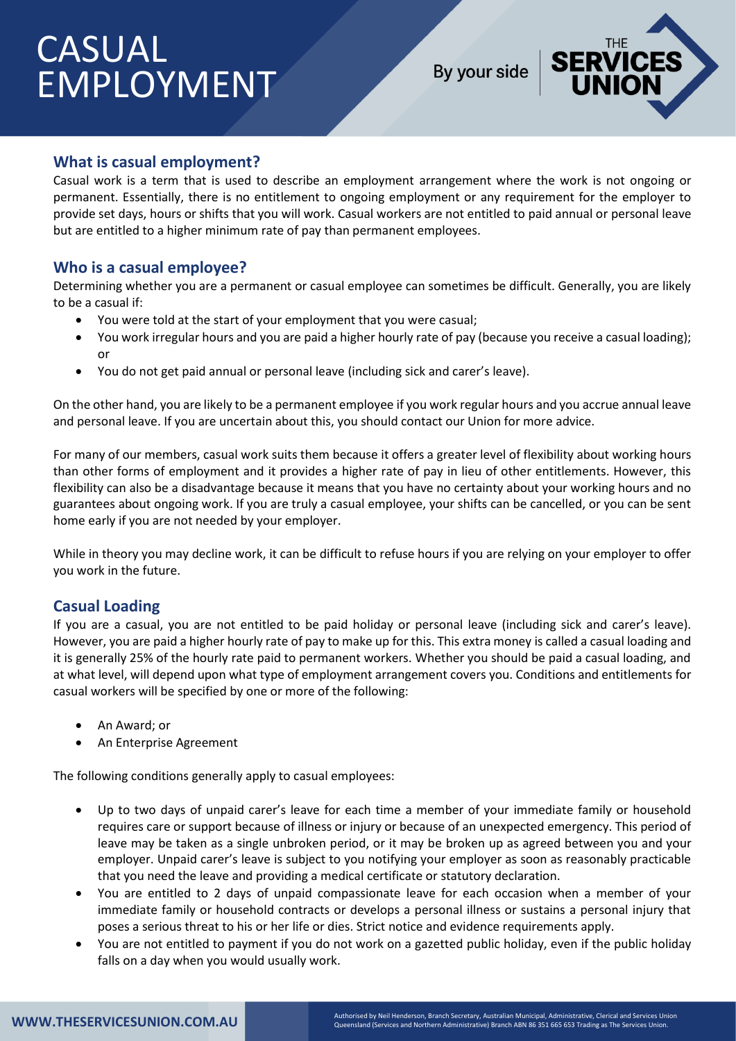## CASUAL EMPLOYMENT

By your side



## **What is casual employment?**

Casual work is a term that is used to describe an employment arrangement where the work is not ongoing or permanent. Essentially, there is no entitlement to ongoing employment or any requirement for the employer to provide set days, hours or shifts that you will work. Casual workers are not entitled to paid annual or personal leave but are entitled to a higher minimum rate of pay than permanent employees.

## **Who is a casual employee?**

Determining whether you are a permanent or casual employee can sometimes be difficult. Generally, you are likely to be a casual if:

- You were told at the start of your employment that you were casual;
- You work irregular hours and you are paid a higher hourly rate of pay (because you receive a casual loading); or
- You do not get paid annual or personal leave (including sick and carer's leave).

On the other hand, you are likely to be a permanent employee if you work regular hours and you accrue annual leave and personal leave. If you are uncertain about this, you should contact our Union for more advice.

For many of our members, casual work suits them because it offers a greater level of flexibility about working hours than other forms of employment and it provides a higher rate of pay in lieu of other entitlements. However, this flexibility can also be a disadvantage because it means that you have no certainty about your working hours and no guarantees about ongoing work. If you are truly a casual employee, your shifts can be cancelled, or you can be sent home early if you are not needed by your employer.

While in theory you may decline work, it can be difficult to refuse hours if you are relying on your employer to offer you work in the future.

## **Casual Loading**

If you are a casual, you are not entitled to be paid holiday or personal leave (including sick and carer's leave). However, you are paid a higher hourly rate of pay to make up for this. This extra money is called a casual loading and it is generally 25% of the hourly rate paid to permanent workers. Whether you should be paid a casual loading, and at what level, will depend upon what type of employment arrangement covers you. Conditions and entitlements for casual workers will be specified by one or more of the following:

- An Award; or
- An Enterprise Agreement

The following conditions generally apply to casual employees:

- Up to two days of unpaid carer's leave for each time a member of your immediate family or household requires care or support because of illness or injury or because of an unexpected emergency. This period of leave may be taken as a single unbroken period, or it may be broken up as agreed between you and your employer. Unpaid carer's leave is subject to you notifying your employer as soon as reasonably practicable that you need the leave and providing a medical certificate or statutory declaration.
- You are entitled to 2 days of unpaid compassionate leave for each occasion when a member of your immediate family or household contracts or develops a personal illness or sustains a personal injury that poses a serious threat to his or her life or dies. Strict notice and evidence requirements apply.
- You are not entitled to payment if you do not work on a gazetted public holiday, even if the public holiday falls on a day when you would usually work.